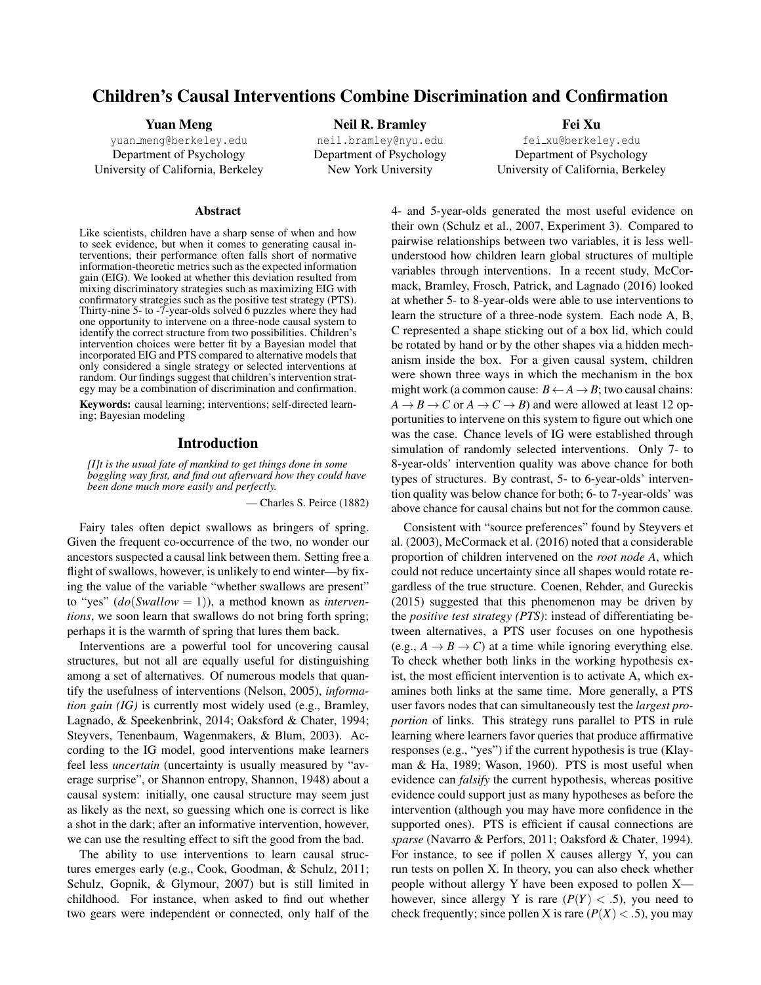# Children's Causal Interventions Combine Discrimination and Confirmation

Yuan Meng yuan [meng@berkeley.edu](mailto:yuan_meng@berkeley.edu) Department of Psychology University of California, Berkeley

Neil R. Bramley [neil.bramley@nyu.edu](mailto:neil.bramley@nyu.edu) Department of Psychology New York University

Fei Xu fei [xu@berkeley.edu](mailto:fei_xu@berkeley.edu) Department of Psychology University of California, Berkeley

#### Abstract

Like scientists, children have a sharp sense of when and how to seek evidence, but when it comes to generating causal interventions, their performance often falls short of normative information-theoretic metrics such as the expected information gain (EIG). We looked at whether this deviation resulted from mixing discriminatory strategies such as maximizing EIG with confirmatory strategies such as the positive test strategy (PTS). Thirty-nine 5- to -7-year-olds solved 6 puzzles where they had one opportunity to intervene on a three-node causal system to identify the correct structure from two possibilities. Children's intervention choices were better fit by a Bayesian model that incorporated EIG and PTS compared to alternative models that only considered a single strategy or selected interventions at random. Our findings suggest that children's intervention strategy may be a combination of discrimination and confirmation.

Keywords: causal learning; interventions; self-directed learning; Bayesian modeling

#### Introduction

*[I]t is the usual fate of mankind to get things done in some boggling way first, and find out afterward how they could have been done much more easily and perfectly.*

— Charles S. Peirce (1882)

Fairy tales often depict swallows as bringers of spring. Given the frequent co-occurrence of the two, no wonder our ancestors suspected a causal link between them. Setting free a flight of swallows, however, is unlikely to end winter—by fixing the value of the variable "whether swallows are present" to "yes" (*do*(*Swallow* = 1)), a method known as *interventions*, we soon learn that swallows do not bring forth spring; perhaps it is the warmth of spring that lures them back.

Interventions are a powerful tool for uncovering causal structures, but not all are equally useful for distinguishing among a set of alternatives. Of numerous models that quantify the usefulness of interventions [\(Nelson, 2005\)](#page-5-0), *information gain (IG)* is currently most widely used (e.g., [Bramley,](#page-5-1) [Lagnado, & Speekenbrink, 2014;](#page-5-1) [Oaksford & Chater, 1994;](#page-5-2) [Steyvers, Tenenbaum, Wagenmakers, & Blum, 2003\)](#page-5-3). According to the IG model, good interventions make learners feel less *uncertain* (uncertainty is usually measured by "average surprise", or Shannon entropy, [Shannon, 1948\)](#page-5-4) about a causal system: initially, one causal structure may seem just as likely as the next, so guessing which one is correct is like a shot in the dark; after an informative intervention, however, we can use the resulting effect to sift the good from the bad.

The ability to use interventions to learn causal structures emerges early (e.g., [Cook, Goodman, & Schulz, 2011;](#page-5-5) [Schulz, Gopnik, & Glymour, 2007\)](#page-5-6) but is still limited in childhood. For instance, when asked to find out whether two gears were independent or connected, only half of the 4- and 5-year-olds generated the most useful evidence on their own [\(Schulz et al., 2007,](#page-5-6) Experiment 3). Compared to pairwise relationships between two variables, it is less wellunderstood how children learn global structures of multiple variables through interventions. In a recent study, McCormack, Bramley, Frosch, Patrick, and Lagnado (2016) looked at whether 5- to 8-year-olds were able to use interventions to learn the structure of a three-node system. Each node A, B, C represented a shape sticking out of a box lid, which could be rotated by hand or by the other shapes via a hidden mechanism inside the box. For a given causal system, children were shown three ways in which the mechanism in the box might work (a common cause:  $B \leftarrow A \rightarrow B$ ; two causal chains:  $A \rightarrow B \rightarrow C$  or  $A \rightarrow C \rightarrow B$ ) and were allowed at least 12 opportunities to intervene on this system to figure out which one was the case. Chance levels of IG were established through simulation of randomly selected interventions. Only 7- to 8-year-olds' intervention quality was above chance for both types of structures. By contrast, 5- to 6-year-olds' intervention quality was below chance for both; 6- to 7-year-olds' was above chance for causal chains but not for the common cause.

Consistent with "source preferences" found by [Steyvers et](#page-5-3) [al.](#page-5-3) [\(2003\)](#page-5-3), [McCormack et al.](#page-5-7) [\(2016\)](#page-5-7) noted that a considerable proportion of children intervened on the *root node A*, which could not reduce uncertainty since all shapes would rotate regardless of the true structure. Coenen, Rehder, and Gureckis (2015) suggested that this phenomenon may be driven by the *positive test strategy (PTS)*: instead of differentiating between alternatives, a PTS user focuses on one hypothesis (e.g.,  $A \rightarrow B \rightarrow C$ ) at a time while ignoring everything else. To check whether both links in the working hypothesis exist, the most efficient intervention is to activate A, which examines both links at the same time. More generally, a PTS user favors nodes that can simultaneously test the *largest proportion* of links. This strategy runs parallel to PTS in rule learning where learners favor queries that produce affirmative responses (e.g., "yes") if the current hypothesis is true [\(Klay](#page-5-8)[man & Ha, 1989;](#page-5-8) [Wason, 1960\)](#page-5-9). PTS is most useful when evidence can *falsify* the current hypothesis, whereas positive evidence could support just as many hypotheses as before the intervention (although you may have more confidence in the supported ones). PTS is efficient if causal connections are *sparse* [\(Navarro & Perfors, 2011;](#page-5-10) [Oaksford & Chater, 1994\)](#page-5-2). For instance, to see if pollen X causes allergy Y, you can run tests on pollen X. In theory, you can also check whether people without allergy Y have been exposed to pollen X however, since allergy Y is rare  $(P(Y) < .5)$ , you need to check frequently; since pollen X is rare  $(P(X) < .5)$ , you may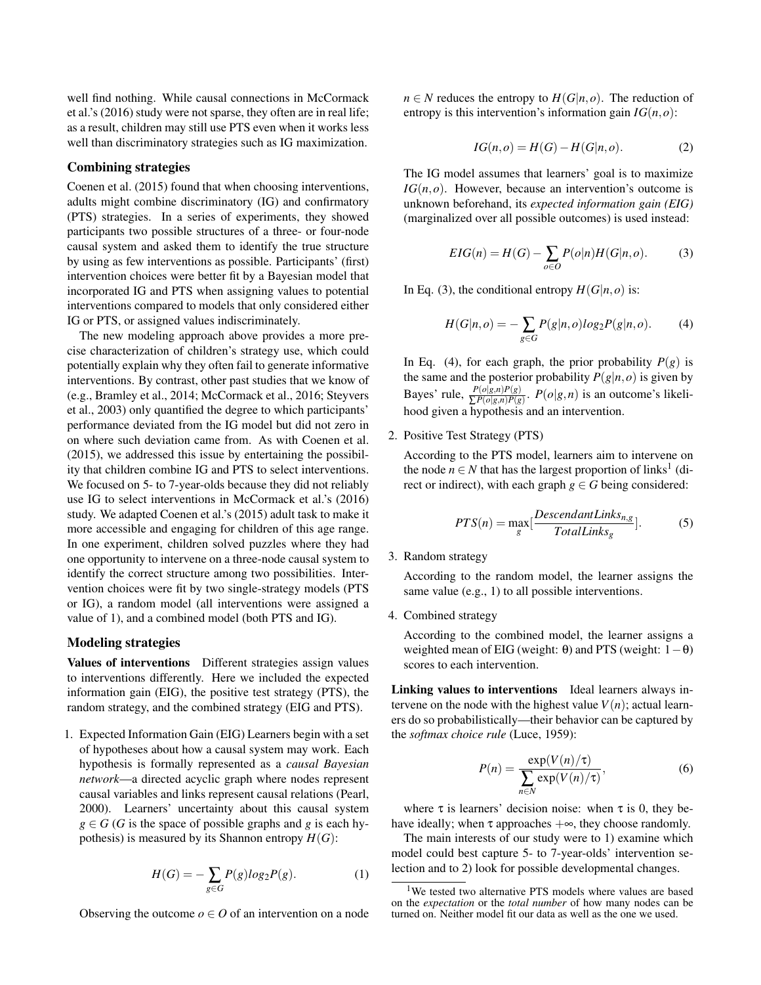well find nothing. While causal connections in McCormack et al.'s (2016) study were not sparse, they often are in real life; as a result, children may still use PTS even when it works less well than discriminatory strategies such as IG maximization.

#### Combining strategies

[Coenen et al.](#page-5-11) [\(2015\)](#page-5-11) found that when choosing interventions, adults might combine discriminatory (IG) and confirmatory (PTS) strategies. In a series of experiments, they showed participants two possible structures of a three- or four-node causal system and asked them to identify the true structure by using as few interventions as possible. Participants' (first) intervention choices were better fit by a Bayesian model that incorporated IG and PTS when assigning values to potential interventions compared to models that only considered either IG or PTS, or assigned values indiscriminately.

The new modeling approach above provides a more precise characterization of children's strategy use, which could potentially explain why they often fail to generate informative interventions. By contrast, other past studies that we know of (e.g., [Bramley et al., 2014;](#page-5-1) [McCormack et al., 2016;](#page-5-7) [Steyvers](#page-5-3) [et al., 2003\)](#page-5-3) only quantified the degree to which participants' performance deviated from the IG model but did not zero in on where such deviation came from. As with [Coenen et al.](#page-5-11) [\(2015\)](#page-5-11), we addressed this issue by entertaining the possibility that children combine IG and PTS to select interventions. We focused on 5- to 7-year-olds because they did not reliably use IG to select interventions in McCormack et al.'s (2016) study. We adapted Coenen et al.'s (2015) adult task to make it more accessible and engaging for children of this age range. In one experiment, children solved puzzles where they had one opportunity to intervene on a three-node causal system to identify the correct structure among two possibilities. Intervention choices were fit by two single-strategy models (PTS or IG), a random model (all interventions were assigned a value of 1), and a combined model (both PTS and IG).

#### Modeling strategies

Values of interventions Different strategies assign values to interventions differently. Here we included the expected information gain (EIG), the positive test strategy (PTS), the random strategy, and the combined strategy (EIG and PTS).

1. Expected Information Gain (EIG) Learners begin with a set of hypotheses about how a causal system may work. Each hypothesis is formally represented as a *causal Bayesian network*—a directed acyclic graph where nodes represent causal variables and links represent causal relations [\(Pearl,](#page-5-12) [2000\)](#page-5-12). Learners' uncertainty about this causal system  $g \in G$  (*G* is the space of possible graphs and *g* is each hypothesis) is measured by its Shannon entropy  $H(G)$ :

$$
H(G) = -\sum_{g \in G} P(g) \log_2 P(g).
$$
 (1)

Observing the outcome  $o \in O$  of an intervention on a node

 $n \in N$  reduces the entropy to  $H(G|n, o)$ . The reduction of entropy is this intervention's information gain  $IG(n, o)$ :

$$
IG(n, o) = H(G) - H(G|n, o).
$$
 (2)

The IG model assumes that learners' goal is to maximize *IG*(*n*,*o*). However, because an intervention's outcome is unknown beforehand, its *expected information gain (EIG)* (marginalized over all possible outcomes) is used instead:

$$
EIG(n) = H(G) - \sum_{o \in O} P(o|n)H(G|n, o).
$$
 (3)

In Eq. (3), the conditional entropy  $H(G|n, o)$  is:

$$
H(G|n, o) = -\sum_{g \in G} P(g|n, o) \log_2 P(g|n, o).
$$
 (4)

In Eq. (4), for each graph, the prior probability  $P(g)$  is the same and the posterior probability  $P(g|n, o)$  is given by Bayes' rule,  $\frac{P(o|g,n)P(g)}{\sum P(o|g,n)P(g)}$ .  $P(o|g,n)$  is an outcome's likelihood given a hypothesis and an intervention.

2. Positive Test Strategy (PTS)

According to the PTS model, learners aim to intervene on the node  $n \in N$  that has the largest proportion of links<sup>[1](#page-1-0)</sup> (direct or indirect), with each graph  $g \in G$  being considered:

$$
PTS(n) = \max_{g} \left[ \frac{Descendant Links_{n,g}}{Total Links_g} \right].
$$
 (5)

3. Random strategy

According to the random model, the learner assigns the same value (e.g., 1) to all possible interventions.

4. Combined strategy

According to the combined model, the learner assigns a weighted mean of EIG (weight:  $θ$ ) and PTS (weight:  $1-θ$ ) scores to each intervention.

Linking values to interventions Ideal learners always intervene on the node with the highest value  $V(n)$ ; actual learners do so probabilistically—their behavior can be captured by the *softmax choice rule* [\(Luce, 1959\)](#page-5-13):

$$
P(n) = \frac{\exp(V(n)/\tau)}{\sum_{n \in N} \exp(V(n)/\tau)},
$$
\n(6)

where  $\tau$  is learners' decision noise: when  $\tau$  is 0, they behave ideally; when  $\tau$  approaches  $+\infty$ , they choose randomly.

The main interests of our study were to 1) examine which model could best capture 5- to 7-year-olds' intervention selection and to 2) look for possible developmental changes.

<span id="page-1-0"></span><sup>&</sup>lt;sup>1</sup>We tested two alternative PTS models where values are based on the *expectation* or the *total number* of how many nodes can be turned on. Neither model fit our data as well as the one we used.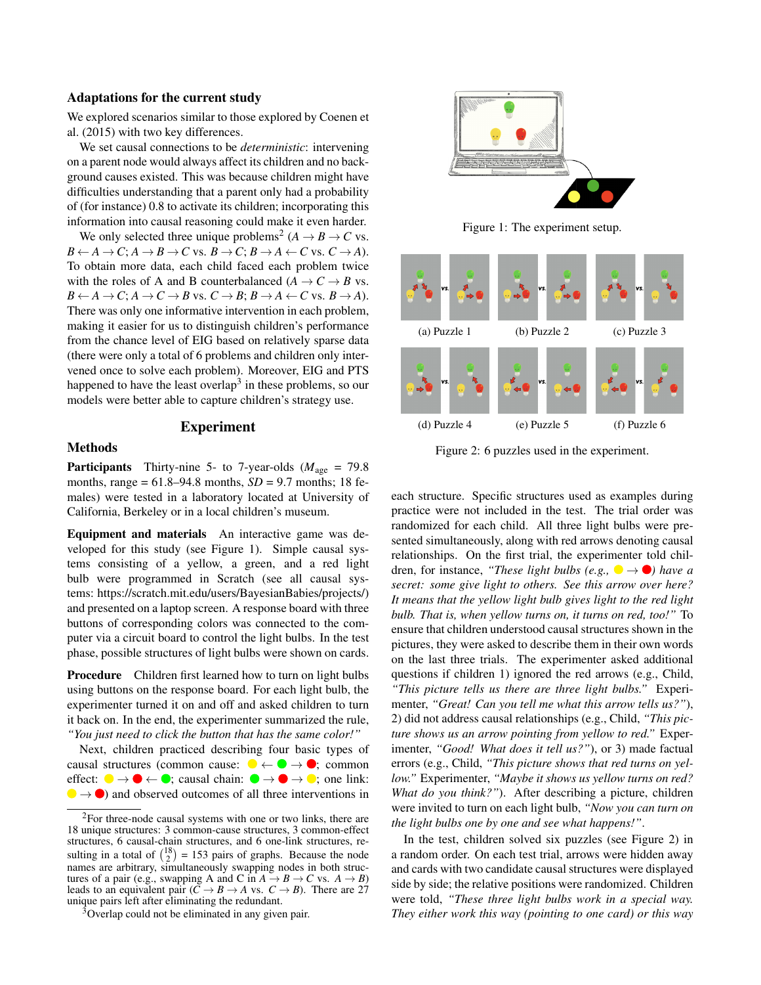#### Adaptations for the current study

We explored scenarios similar to those explored by [Coenen et](#page-5-11) [al.](#page-5-11) [\(2015\)](#page-5-11) with two key differences.

We set causal connections to be *deterministic*: intervening on a parent node would always affect its children and no background causes existed. This was because children might have difficulties understanding that a parent only had a probability of (for instance) 0.8 to activate its children; incorporating this information into causal reasoning could make it even harder.

We only selected three unique problems<sup>[2](#page-2-0)</sup> ( $A \rightarrow B \rightarrow C$  vs.  $B \leftarrow A \rightarrow C$ ;  $A \rightarrow B \rightarrow C$  vs.  $B \rightarrow C$ ;  $B \rightarrow A \leftarrow C$  vs.  $C \rightarrow A$ ). To obtain more data, each child faced each problem twice with the roles of A and B counterbalanced ( $A \rightarrow C \rightarrow B$  vs.  $B \leftarrow A \rightarrow C$ ;  $A \rightarrow C \rightarrow B$  vs.  $C \rightarrow B$ ;  $B \rightarrow A \leftarrow C$  vs.  $B \rightarrow A$ ). There was only one informative intervention in each problem, making it easier for us to distinguish children's performance from the chance level of EIG based on relatively sparse data (there were only a total of 6 problems and children only intervened once to solve each problem). Moreover, EIG and PTS happened to have the least overlap<sup>[3](#page-2-1)</sup> in these problems, so our models were better able to capture children's strategy use.

# Experiment

## Methods

**Participants** Thirty-nine 5- to 7-year-olds ( $M_{\text{age}} = 79.8$ ) months, range  $= 61.8 - 94.8$  months,  $SD = 9.7$  months; 18 females) were tested in a laboratory located at University of California, Berkeley or in a local children's museum.

Equipment and materials An interactive game was developed for this study (see Figure 1). Simple causal systems consisting of a yellow, a green, and a red light bulb were programmed in Scratch (see all causal systems: [https://scratch.mit.edu/users/BayesianBabies/projects/\)](https://scratch.mit.edu/users/BayesianBabies/projects/) and presented on a laptop screen. A response board with three buttons of corresponding colors was connected to the computer via a circuit board to control the light bulbs. In the test phase, possible structures of light bulbs were shown on cards.

Procedure Children first learned how to turn on light bulbs using buttons on the response board. For each light bulb, the experimenter turned it on and off and asked children to turn it back on. In the end, the experimenter summarized the rule, *"You just need to click the button that has the same color!"*

Next, children practiced describing four basic types of causal structures (common cause:  $\bigcirc \leftarrow \bigcirc \rightarrow \bigcirc$ ; common effect:  $\bullet \rightarrow \bullet \leftarrow \bullet$ ; causal chain:  $\bullet \rightarrow \bullet \rightarrow \bullet$ ; one link:  $\bullet \rightarrow \bullet$ ) and observed outcomes of all three interventions in



Figure 1: The experiment setup.



Figure 2: 6 puzzles used in the experiment.

each structure. Specific structures used as examples during practice were not included in the test. The trial order was randomized for each child. All three light bulbs were presented simultaneously, along with red arrows denoting causal relationships. On the first trial, the experimenter told children, for instance, *"These light bulbs (e.g.,*  $\bullet \rightarrow \bullet$ ) have a *secret: some give light to others. See this arrow over here? It means that the yellow light bulb gives light to the red light bulb. That is, when yellow turns on, it turns on red, too!"* To ensure that children understood causal structures shown in the pictures, they were asked to describe them in their own words on the last three trials. The experimenter asked additional questions if children 1) ignored the red arrows (e.g., Child, *"This picture tells us there are three light bulbs."* Experimenter, *"Great! Can you tell me what this arrow tells us?"*), 2) did not address causal relationships (e.g., Child, *"This picture shows us an arrow pointing from yellow to red."* Experimenter, *"Good! What does it tell us?"*), or 3) made factual errors (e.g., Child, *"This picture shows that red turns on yellow."* Experimenter, *"Maybe it shows us yellow turns on red? What do you think?"*). After describing a picture, children were invited to turn on each light bulb, *"Now you can turn on the light bulbs one by one and see what happens!"*.

In the test, children solved six puzzles (see Figure 2) in a random order. On each test trial, arrows were hidden away and cards with two candidate causal structures were displayed side by side; the relative positions were randomized. Children were told, *"These three light bulbs work in a special way. They either work this way (pointing to one card) or this way*

<span id="page-2-0"></span><sup>&</sup>lt;sup>2</sup>For three-node causal systems with one or two links, there are 18 unique structures: 3 common-cause structures, 3 common-effect structures, 6 causal-chain structures, and 6 one-link structures, resulting in a total of  $\binom{18}{2}$  = 153 pairs of graphs. Because the node names are arbitrary, simultaneously swapping nodes in both structures of a pair (e.g., swapping A and C in  $A \rightarrow B \rightarrow C$  vs.  $A \rightarrow B$ ) leads to an equivalent pair  $(\bar{C} \to B \to A \text{ vs. } C \to B)$ . There are 27 unique pairs left after eliminating the redundant.

<span id="page-2-1"></span><sup>&</sup>lt;sup>3</sup>Overlap could not be eliminated in any given pair.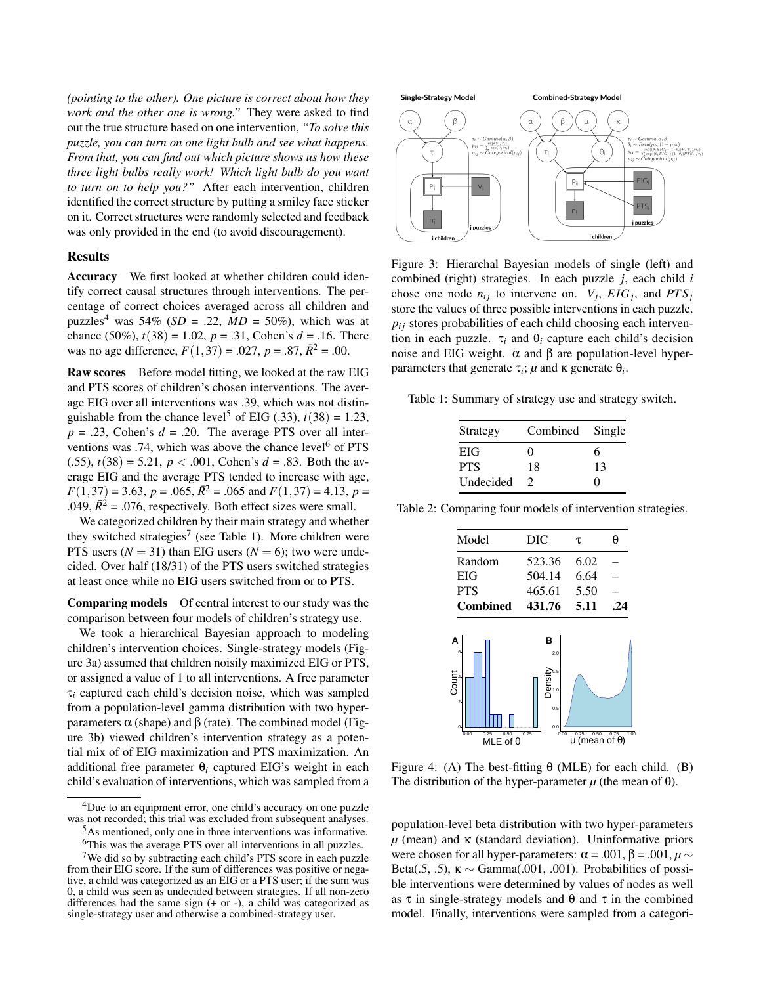*(pointing to the other). One picture is correct about how they work and the other one is wrong."* They were asked to find out the true structure based on one intervention, *"To solve this puzzle, you can turn on one light bulb and see what happens. From that, you can find out which picture shows us how these three light bulbs really work! Which light bulb do you want to turn on to help you?"* After each intervention, children identified the correct structure by putting a smiley face sticker on it. Correct structures were randomly selected and feedback was only provided in the end (to avoid discouragement).

#### Results

Accuracy We first looked at whether children could identify correct causal structures through interventions. The percentage of correct choices averaged across all children and puzzles<sup>[4](#page-3-0)</sup> was 54% (*SD* = .22, *MD* = 50%), which was at chance (50%),  $t(38) = 1.02$ ,  $p = .31$ , Cohen's  $d = .16$ . There was no age difference,  $F(1,37) = .027$ ,  $p = .87$ ,  $\bar{R}^2 = .00$ .

Raw scores Before model fitting, we looked at the raw EIG and PTS scores of children's chosen interventions. The average EIG over all interventions was .39, which was not distin-guishable from the chance level<sup>[5](#page-3-1)</sup> of EIG (.33),  $t(38) = 1.23$ ,  $p = .23$ , Cohen's  $d = .20$ . The average PTS over all inter-ventions was .74, which was above the chance level<sup>[6](#page-3-2)</sup> of PTS  $(0.55)$ ,  $t(38) = 5.21$ ,  $p < 0.001$ , Cohen's  $d = 0.83$ . Both the average EIG and the average PTS tended to increase with age,  $F(1,37) = 3.63, p = .065, \overline{R}^2 = .065$  and  $F(1,37) = 4.13, p =$ .049,  $\bar{R}^2$  = .076, respectively. Both effect sizes were small.

We categorized children by their main strategy and whether they switched strategies<sup>[7](#page-3-3)</sup> (see Table 1). More children were PTS users  $(N = 31)$  than EIG users  $(N = 6)$ ; two were undecided. Over half (18/31) of the PTS users switched strategies at least once while no EIG users switched from or to PTS.

Comparing models Of central interest to our study was the comparison between four models of children's strategy use.

We took a hierarchical Bayesian approach to modeling children's intervention choices. Single-strategy models (Figure 3a) assumed that children noisily maximized EIG or PTS, or assigned a value of 1 to all interventions. A free parameter τ*<sup>i</sup>* captured each child's decision noise, which was sampled from a population-level gamma distribution with two hyperparameters α (shape) and β (rate). The combined model (Figure 3b) viewed children's intervention strategy as a potential mix of of EIG maximization and PTS maximization. An additional free parameter  $\theta_i$  captured EIG's weight in each child's evaluation of interventions, which was sampled from a



Figure 3: Hierarchal Bayesian models of single (left) and combined (right) strategies. In each puzzle *j*, each child *i* chose one node  $n_{ij}$  to intervene on.  $V_j$ ,  $EIG_j$ , and  $PTS_j$ store the values of three possible interventions in each puzzle.  $p_{ij}$  stores probabilities of each child choosing each intervention in each puzzle.  $\tau_i$  and  $\theta_i$  capture each child's decision noise and EIG weight.  $\alpha$  and β are population-level hyperparameters that generate  $τ<sub>i</sub>$ ;  $μ$  and  $κ$  generate  $θ<sub>i</sub>$ .

Table 1: Summary of strategy use and strategy switch.

| Strategy   | Combined      | Single            |  |
|------------|---------------|-------------------|--|
| EIG        | $\mathbf{0}$  | 6                 |  |
| <b>PTS</b> | 18            | 13                |  |
| Undecided  | $\mathcal{D}$ | $\mathbf{\Omega}$ |  |

Table 2: Comparing four models of intervention strategies.

| Model                                         | DIC                               | τ                                         | θ           |
|-----------------------------------------------|-----------------------------------|-------------------------------------------|-------------|
| Random                                        | 523.36                            | 6.02                                      |             |
| EIG                                           | 504.14                            | 6.64                                      |             |
| <b>PTS</b>                                    | 465.61                            | 5.50                                      |             |
| <b>Combined</b>                               | 431.76                            | 5.11                                      | .24         |
| A<br>6<br>Count<br>$\overline{2}$<br>$\Omega$ | в<br>2.0<br>Jensity<br>0.5<br>0.0 |                                           |             |
| 0.25<br>0.50<br>0.00<br>MLE of $\theta$       | 0.75<br>0.00                      | 0.25<br>0.50<br>$\mu$ (mean of $\theta$ ) | 100<br>0.75 |

Figure 4: (A) The best-fitting  $\theta$  (MLE) for each child. (B) The distribution of the hyper-parameter  $\mu$  (the mean of  $\theta$ ).

population-level beta distribution with two hyper-parameters  $\mu$  (mean) and  $\kappa$  (standard deviation). Uninformative priors were chosen for all hyper-parameters:  $\alpha$  = .001,  $\beta$  = .001,  $\mu$  ~ Beta(.5, .5),  $\kappa \sim \text{Gamma}(0.001, 0.001)$ . Probabilities of possible interventions were determined by values of nodes as well as  $\tau$  in single-strategy models and  $\theta$  and  $\tau$  in the combined model. Finally, interventions were sampled from a categori-

<span id="page-3-0"></span><sup>4</sup>Due to an equipment error, one child's accuracy on one puzzle was not recorded; this trial was excluded from subsequent analyses.

<span id="page-3-1"></span><sup>5</sup>As mentioned, only one in three interventions was informative.

<span id="page-3-3"></span><span id="page-3-2"></span><sup>6</sup>This was the average PTS over all interventions in all puzzles.

<sup>7</sup>We did so by subtracting each child's PTS score in each puzzle from their EIG score. If the sum of differences was positive or negative, a child was categorized as an EIG or a PTS user; if the sum was 0, a child was seen as undecided between strategies. If all non-zero differences had the same sign  $(+ or -)$ , a child was categorized as single-strategy user and otherwise a combined-strategy user.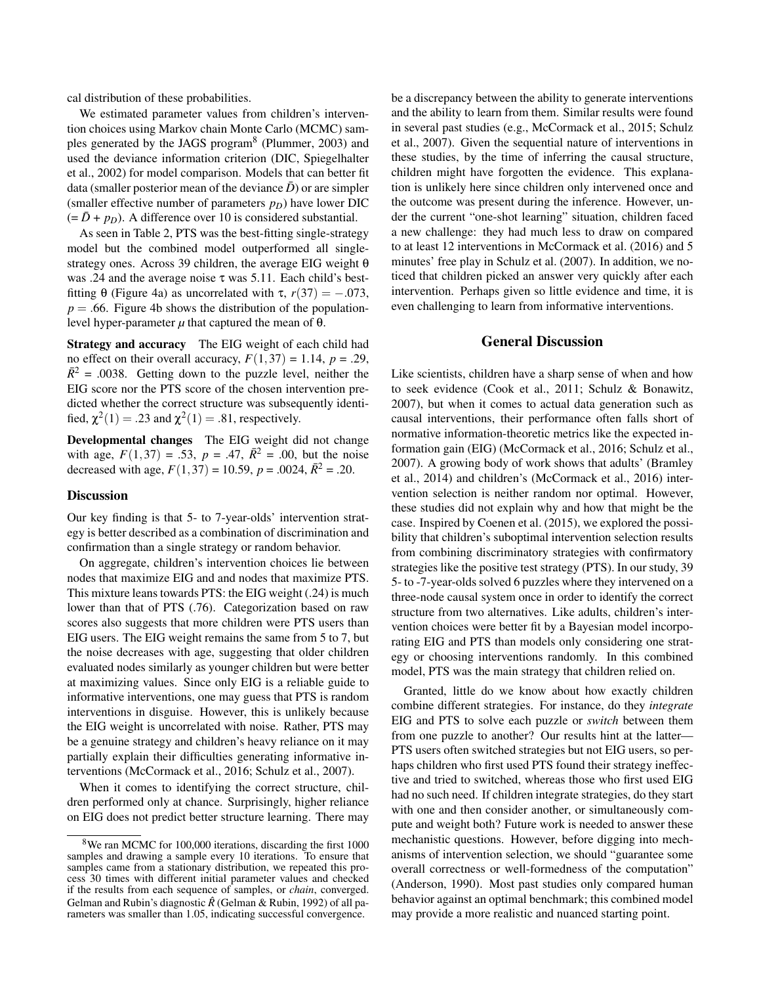cal distribution of these probabilities.

We estimated parameter values from children's intervention choices using Markov chain Monte Carlo (MCMC) sam-ples generated by the JAGS program<sup>[8](#page-4-0)</sup> [\(Plummer, 2003\)](#page-5-14) and used the deviance information criterion (DIC, [Spiegelhalter](#page-5-15) [et al., 2002\)](#page-5-15) for model comparison. Models that can better fit data (smaller posterior mean of the deviance  $\bar{D}$ ) or are simpler (smaller effective number of parameters  $p_D$ ) have lower DIC  $(= \bar{D} + p_D)$ . A difference over 10 is considered substantial.

As seen in Table 2, PTS was the best-fitting single-strategy model but the combined model outperformed all singlestrategy ones. Across 39 children, the average EIG weight  $\theta$ was .24 and the average noise τ was 5.11. Each child's bestfitting θ (Figure 4a) as uncorrelated with τ,  $r(37) = -.073$ ,  $p = 0.66$ . Figure 4b shows the distribution of the populationlevel hyper-parameter  $\mu$  that captured the mean of θ.

Strategy and accuracy The EIG weight of each child had no effect on their overall accuracy,  $F(1,37) = 1.14$ ,  $p = .29$ ,  $\bar{R}^2$  = .0038. Getting down to the puzzle level, neither the EIG score nor the PTS score of the chosen intervention predicted whether the correct structure was subsequently identified,  $\chi^2(1) = .23$  and  $\chi^2(1) = .81$ , respectively.

Developmental changes The EIG weight did not change with age,  $F(1,37) = .53$ ,  $p = .47$ ,  $\bar{R}^2 = .00$ , but the noise decreased with age,  $F(1,37) = 10.59$ ,  $p = .0024$ ,  $\bar{R}^2 = .20$ .

#### **Discussion**

Our key finding is that 5- to 7-year-olds' intervention strategy is better described as a combination of discrimination and confirmation than a single strategy or random behavior.

On aggregate, children's intervention choices lie between nodes that maximize EIG and and nodes that maximize PTS. This mixture leans towards PTS: the EIG weight (.24) is much lower than that of PTS (.76). Categorization based on raw scores also suggests that more children were PTS users than EIG users. The EIG weight remains the same from 5 to 7, but the noise decreases with age, suggesting that older children evaluated nodes similarly as younger children but were better at maximizing values. Since only EIG is a reliable guide to informative interventions, one may guess that PTS is random interventions in disguise. However, this is unlikely because the EIG weight is uncorrelated with noise. Rather, PTS may be a genuine strategy and children's heavy reliance on it may partially explain their difficulties generating informative interventions [\(McCormack et al., 2016;](#page-5-7) [Schulz et al., 2007\)](#page-5-6).

When it comes to identifying the correct structure, children performed only at chance. Surprisingly, higher reliance on EIG does not predict better structure learning. There may be a discrepancy between the ability to generate interventions and the ability to learn from them. Similar results were found in several past studies (e.g., [McCormack et al., 2015;](#page-5-17) [Schulz](#page-5-6) [et al., 2007\)](#page-5-6). Given the sequential nature of interventions in these studies, by the time of inferring the causal structure, children might have forgotten the evidence. This explanation is unlikely here since children only intervened once and the outcome was present during the inference. However, under the current "one-shot learning" situation, children faced a new challenge: they had much less to draw on compared to at least 12 interventions in [McCormack et al.](#page-5-7) [\(2016\)](#page-5-7) and 5 minutes' free play in [Schulz et al.](#page-5-6) [\(2007\)](#page-5-6). In addition, we noticed that children picked an answer very quickly after each intervention. Perhaps given so little evidence and time, it is even challenging to learn from informative interventions.

## General Discussion

Like scientists, children have a sharp sense of when and how to seek evidence [\(Cook et al., 2011;](#page-5-5) [Schulz & Bonawitz,](#page-5-18) [2007\)](#page-5-18), but when it comes to actual data generation such as causal interventions, their performance often falls short of normative information-theoretic metrics like the expected information gain (EIG) [\(McCormack et al., 2016;](#page-5-7) [Schulz et al.,](#page-5-6) [2007\)](#page-5-6). A growing body of work shows that adults' [\(Bramley](#page-5-1) [et al., 2014\)](#page-5-1) and children's [\(McCormack et al., 2016\)](#page-5-7) intervention selection is neither random nor optimal. However, these studies did not explain why and how that might be the case. Inspired by [Coenen et al.](#page-5-11) [\(2015\)](#page-5-11), we explored the possibility that children's suboptimal intervention selection results from combining discriminatory strategies with confirmatory strategies like the positive test strategy (PTS). In our study, 39 5- to -7-year-olds solved 6 puzzles where they intervened on a three-node causal system once in order to identify the correct structure from two alternatives. Like adults, children's intervention choices were better fit by a Bayesian model incorporating EIG and PTS than models only considering one strategy or choosing interventions randomly. In this combined model, PTS was the main strategy that children relied on.

Granted, little do we know about how exactly children combine different strategies. For instance, do they *integrate* EIG and PTS to solve each puzzle or *switch* between them from one puzzle to another? Our results hint at the latter— PTS users often switched strategies but not EIG users, so perhaps children who first used PTS found their strategy ineffective and tried to switched, whereas those who first used EIG had no such need. If children integrate strategies, do they start with one and then consider another, or simultaneously compute and weight both? Future work is needed to answer these mechanistic questions. However, before digging into mechanisms of intervention selection, we should "guarantee some overall correctness or well-formedness of the computation" [\(Anderson, 1990\)](#page-5-19). Most past studies only compared human behavior against an optimal benchmark; this combined model may provide a more realistic and nuanced starting point.

<span id="page-4-0"></span><sup>&</sup>lt;sup>8</sup>We ran MCMC for 100,000 iterations, discarding the first 1000 samples and drawing a sample every 10 iterations. To ensure that samples came from a stationary distribution, we repeated this process 30 times with different initial parameter values and checked if the results from each sequence of samples, or *chain*, converged. Gelman and Rubin's diagnostic  $\hat{R}$  [\(Gelman & Rubin, 1992\)](#page-5-16) of all parameters was smaller than 1.05, indicating successful convergence.